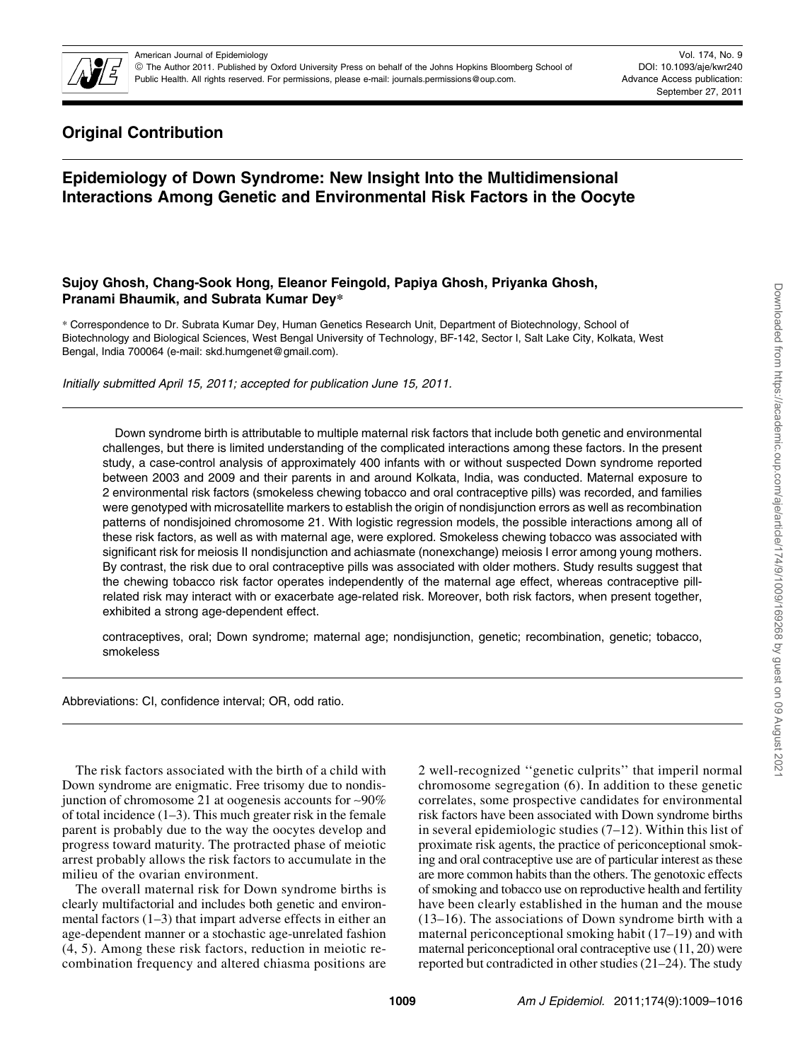

Vol. 174, No. 9 DOI: 10.1093/aje/kwr240 Advance Access publication: September 27, 2011

# Original Contribution

# Epidemiology of Down Syndrome: New Insight Into the Multidimensional Interactions Among Genetic and Environmental Risk Factors in the Oocyte

# Sujoy Ghosh, Chang-Sook Hong, Eleanor Feingold, Papiya Ghosh, Priyanka Ghosh, Pranami Bhaumik, and Subrata Kumar Dey\*

\* Correspondence to Dr. Subrata Kumar Dey, Human Genetics Research Unit, Department of Biotechnology, School of Biotechnology and Biological Sciences, West Bengal University of Technology, BF-142, Sector I, Salt Lake City, Kolkata, West Bengal, India 700064 (e-mail: skd.humgenet@gmail.com).

Initially submitted April 15, 2011; accepted for publication June 15, 2011.

Down syndrome birth is attributable to multiple maternal risk factors that include both genetic and environmental challenges, but there is limited understanding of the complicated interactions among these factors. In the present study, a case-control analysis of approximately 400 infants with or without suspected Down syndrome reported between 2003 and 2009 and their parents in and around Kolkata, India, was conducted. Maternal exposure to 2 environmental risk factors (smokeless chewing tobacco and oral contraceptive pills) was recorded, and families were genotyped with microsatellite markers to establish the origin of nondisjunction errors as well as recombination patterns of nondisjoined chromosome 21. With logistic regression models, the possible interactions among all of these risk factors, as well as with maternal age, were explored. Smokeless chewing tobacco was associated with significant risk for meiosis II nondisjunction and achiasmate (nonexchange) meiosis I error among young mothers. By contrast, the risk due to oral contraceptive pills was associated with older mothers. Study results suggest that the chewing tobacco risk factor operates independently of the maternal age effect, whereas contraceptive pillrelated risk may interact with or exacerbate age-related risk. Moreover, both risk factors, when present together, exhibited a strong age-dependent effect.

contraceptives, oral; Down syndrome; maternal age; nondisjunction, genetic; recombination, genetic; tobacco, smokeless

Abbreviations: CI, confidence interval; OR, odd ratio.

The risk factors associated with the birth of a child with Down syndrome are enigmatic. Free trisomy due to nondisjunction of chromosome 21 at oogenesis accounts for ~90% of total incidence  $(1-3)$ . This much greater risk in the female parent is probably due to the way the oocytes develop and progress toward maturity. The protracted phase of meiotic arrest probably allows the risk factors to accumulate in the milieu of the ovarian environment.

The overall maternal risk for Down syndrome births is clearly multifactorial and includes both genetic and environmental factors (1–3) that impart adverse effects in either an age-dependent manner or a stochastic age-unrelated fashion (4, 5). Among these risk factors, reduction in meiotic recombination frequency and altered chiasma positions are

2 well-recognized ''genetic culprits'' that imperil normal chromosome segregation (6). In addition to these genetic correlates, some prospective candidates for environmental risk factors have been associated with Down syndrome births in several epidemiologic studies (7–12). Within this list of proximate risk agents, the practice of periconceptional smoking and oral contraceptive use are of particular interest as these are more common habits than the others. The genotoxic effects of smoking and tobacco use on reproductive health and fertility have been clearly established in the human and the mouse (13–16). The associations of Down syndrome birth with a maternal periconceptional smoking habit (17–19) and with maternal periconceptional oral contraceptive use (11, 20) were reported but contradicted in other studies (21–24). The study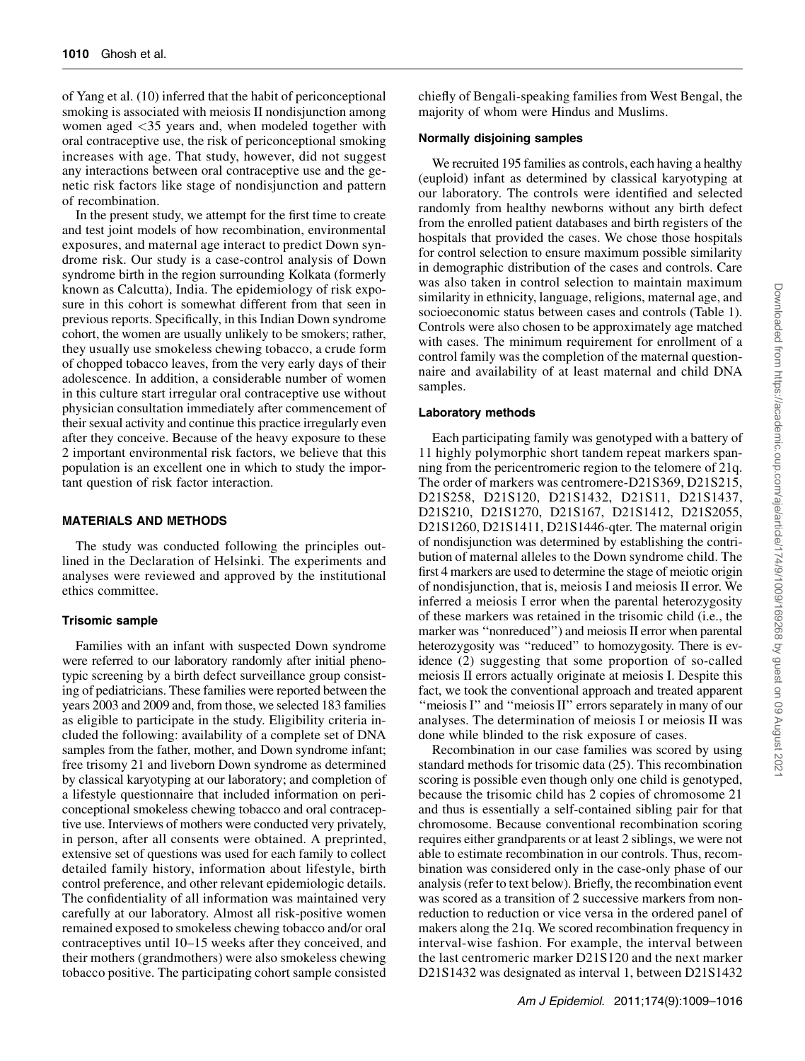of Yang et al. (10) inferred that the habit of periconceptional smoking is associated with meiosis II nondisjunction among women aged <35 years and, when modeled together with oral contraceptive use, the risk of periconceptional smoking increases with age. That study, however, did not suggest any interactions between oral contraceptive use and the genetic risk factors like stage of nondisjunction and pattern of recombination.

In the present study, we attempt for the first time to create and test joint models of how recombination, environmental exposures, and maternal age interact to predict Down syndrome risk. Our study is a case-control analysis of Down syndrome birth in the region surrounding Kolkata (formerly known as Calcutta), India. The epidemiology of risk exposure in this cohort is somewhat different from that seen in previous reports. Specifically, in this Indian Down syndrome cohort, the women are usually unlikely to be smokers; rather, they usually use smokeless chewing tobacco, a crude form of chopped tobacco leaves, from the very early days of their adolescence. In addition, a considerable number of women in this culture start irregular oral contraceptive use without physician consultation immediately after commencement of their sexual activity and continue this practice irregularly even after they conceive. Because of the heavy exposure to these 2 important environmental risk factors, we believe that this population is an excellent one in which to study the important question of risk factor interaction.

## MATERIALS AND METHODS

The study was conducted following the principles outlined in the Declaration of Helsinki. The experiments and analyses were reviewed and approved by the institutional ethics committee.

### Trisomic sample

Families with an infant with suspected Down syndrome were referred to our laboratory randomly after initial phenotypic screening by a birth defect surveillance group consisting of pediatricians. These families were reported between the years 2003 and 2009 and, from those, we selected 183 families as eligible to participate in the study. Eligibility criteria included the following: availability of a complete set of DNA samples from the father, mother, and Down syndrome infant; free trisomy 21 and liveborn Down syndrome as determined by classical karyotyping at our laboratory; and completion of a lifestyle questionnaire that included information on periconceptional smokeless chewing tobacco and oral contraceptive use. Interviews of mothers were conducted very privately, in person, after all consents were obtained. A preprinted, extensive set of questions was used for each family to collect detailed family history, information about lifestyle, birth control preference, and other relevant epidemiologic details. The confidentiality of all information was maintained very carefully at our laboratory. Almost all risk-positive women remained exposed to smokeless chewing tobacco and/or oral contraceptives until 10–15 weeks after they conceived, and their mothers (grandmothers) were also smokeless chewing tobacco positive. The participating cohort sample consisted

## Normally disjoining samples

We recruited 195 families as controls, each having a healthy (euploid) infant as determined by classical karyotyping at our laboratory. The controls were identified and selected randomly from healthy newborns without any birth defect from the enrolled patient databases and birth registers of the hospitals that provided the cases. We chose those hospitals for control selection to ensure maximum possible similarity in demographic distribution of the cases and controls. Care was also taken in control selection to maintain maximum similarity in ethnicity, language, religions, maternal age, and socioeconomic status between cases and controls (Table 1). Controls were also chosen to be approximately age matched with cases. The minimum requirement for enrollment of a control family was the completion of the maternal questionnaire and availability of at least maternal and child DNA samples.

## Laboratory methods

Each participating family was genotyped with a battery of 11 highly polymorphic short tandem repeat markers spanning from the pericentromeric region to the telomere of 21q. The order of markers was centromere-D21S369, D21S215, D21S258, D21S120, D21S1432, D21S11, D21S1437, D21S210, D21S1270, D21S167, D21S1412, D21S2055, D21S1260, D21S1411, D21S1446-qter. The maternal origin of nondisjunction was determined by establishing the contribution of maternal alleles to the Down syndrome child. The first 4 markers are used to determine the stage of meiotic origin of nondisjunction, that is, meiosis I and meiosis II error. We inferred a meiosis I error when the parental heterozygosity of these markers was retained in the trisomic child (i.e., the marker was ''nonreduced'') and meiosis II error when parental heterozygosity was ''reduced'' to homozygosity. There is evidence (2) suggesting that some proportion of so-called meiosis II errors actually originate at meiosis I. Despite this fact, we took the conventional approach and treated apparent ''meiosis I'' and ''meiosis II'' errors separately in many of our analyses. The determination of meiosis I or meiosis II was done while blinded to the risk exposure of cases.

Recombination in our case families was scored by using standard methods for trisomic data (25). This recombination scoring is possible even though only one child is genotyped, because the trisomic child has 2 copies of chromosome 21 and thus is essentially a self-contained sibling pair for that chromosome. Because conventional recombination scoring requires either grandparents or at least 2 siblings, we were not able to estimate recombination in our controls. Thus, recombination was considered only in the case-only phase of our analysis (refer to text below). Briefly, the recombination event was scored as a transition of 2 successive markers from nonreduction to reduction or vice versa in the ordered panel of makers along the 21q. We scored recombination frequency in interval-wise fashion. For example, the interval between the last centromeric marker D21S120 and the next marker D21S1432 was designated as interval 1, between D21S1432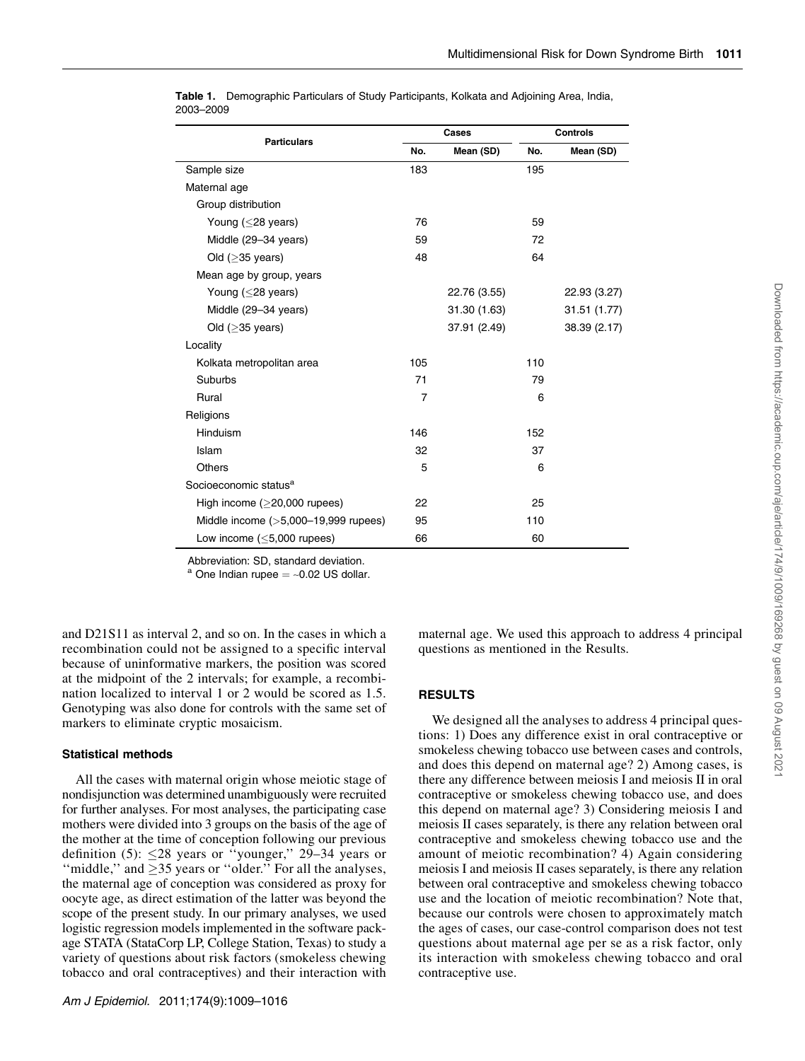| <b>Particulars</b>                      |     | Cases        | <b>Controls</b> |              |  |  |
|-----------------------------------------|-----|--------------|-----------------|--------------|--|--|
|                                         | No. | Mean (SD)    | No.             | Mean (SD)    |  |  |
| Sample size                             | 183 |              | 195             |              |  |  |
| Maternal age                            |     |              |                 |              |  |  |
| Group distribution                      |     |              |                 |              |  |  |
| Young $(<$ 28 years)                    | 76  |              | 59              |              |  |  |
| Middle (29-34 years)                    | 59  |              | 72              |              |  |  |
| Old $(≥35 \text{ years})$               | 48  |              | 64              |              |  |  |
| Mean age by group, years                |     |              |                 |              |  |  |
| Young (<28 years)                       |     | 22.76 (3.55) |                 | 22.93 (3.27) |  |  |
| Middle (29-34 years)                    |     | 31.30 (1.63) |                 | 31.51 (1.77) |  |  |
| Old ( $\geq$ 35 years)                  |     | 37.91 (2.49) |                 | 38.39 (2.17) |  |  |
| Locality                                |     |              |                 |              |  |  |
| Kolkata metropolitan area               | 105 |              | 110             |              |  |  |
| Suburbs                                 | 71  |              | 79              |              |  |  |
| Rural                                   | 7   |              | 6               |              |  |  |
| Religions                               |     |              |                 |              |  |  |
| Hinduism                                | 146 |              | 152             |              |  |  |
| Islam                                   | 32  |              | 37              |              |  |  |
| <b>Others</b>                           | 5   |              | 6               |              |  |  |
| Socioeconomic status <sup>a</sup>       |     |              |                 |              |  |  |
| High income $(>20,000$ rupees)          | 22  |              | 25              |              |  |  |
| Middle income $($ >5,000-19,999 rupees) | 95  |              | 110             |              |  |  |
| Low income $(<5,000$ rupees)            | 66  |              | 60              |              |  |  |

Table 1. Demographic Particulars of Study Participants, Kolkata and Adjoining Area, India, 2003–2009

Abbreviation: SD, standard deviation.

 $^{\text{a}}$  One Indian rupee  $=$  ~0.02 US dollar.

and D21S11 as interval 2, and so on. In the cases in which a recombination could not be assigned to a specific interval because of uninformative markers, the position was scored at the midpoint of the 2 intervals; for example, a recombination localized to interval 1 or 2 would be scored as 1.5. Genotyping was also done for controls with the same set of markers to eliminate cryptic mosaicism.

# Statistical methods

All the cases with maternal origin whose meiotic stage of nondisjunction was determined unambiguously were recruited for further analyses. For most analyses, the participating case mothers were divided into 3 groups on the basis of the age of the mother at the time of conception following our previous definition (5):  $\leq$ 28 years or "younger," 29–34 years or "middle," and  $\geq$ 35 years or "older." For all the analyses, the maternal age of conception was considered as proxy for oocyte age, as direct estimation of the latter was beyond the scope of the present study. In our primary analyses, we used logistic regression models implemented in the software package STATA (StataCorp LP, College Station, Texas) to study a variety of questions about risk factors (smokeless chewing tobacco and oral contraceptives) and their interaction with

maternal age. We used this approach to address 4 principal questions as mentioned in the Results.

# RESULTS

We designed all the analyses to address 4 principal questions: 1) Does any difference exist in oral contraceptive or smokeless chewing tobacco use between cases and controls, and does this depend on maternal age? 2) Among cases, is there any difference between meiosis I and meiosis II in oral contraceptive or smokeless chewing tobacco use, and does this depend on maternal age? 3) Considering meiosis I and meiosis II cases separately, is there any relation between oral contraceptive and smokeless chewing tobacco use and the amount of meiotic recombination? 4) Again considering meiosis I and meiosis II cases separately, is there any relation between oral contraceptive and smokeless chewing tobacco use and the location of meiotic recombination? Note that, because our controls were chosen to approximately match the ages of cases, our case-control comparison does not test questions about maternal age per se as a risk factor, only its interaction with smokeless chewing tobacco and oral contraceptive use.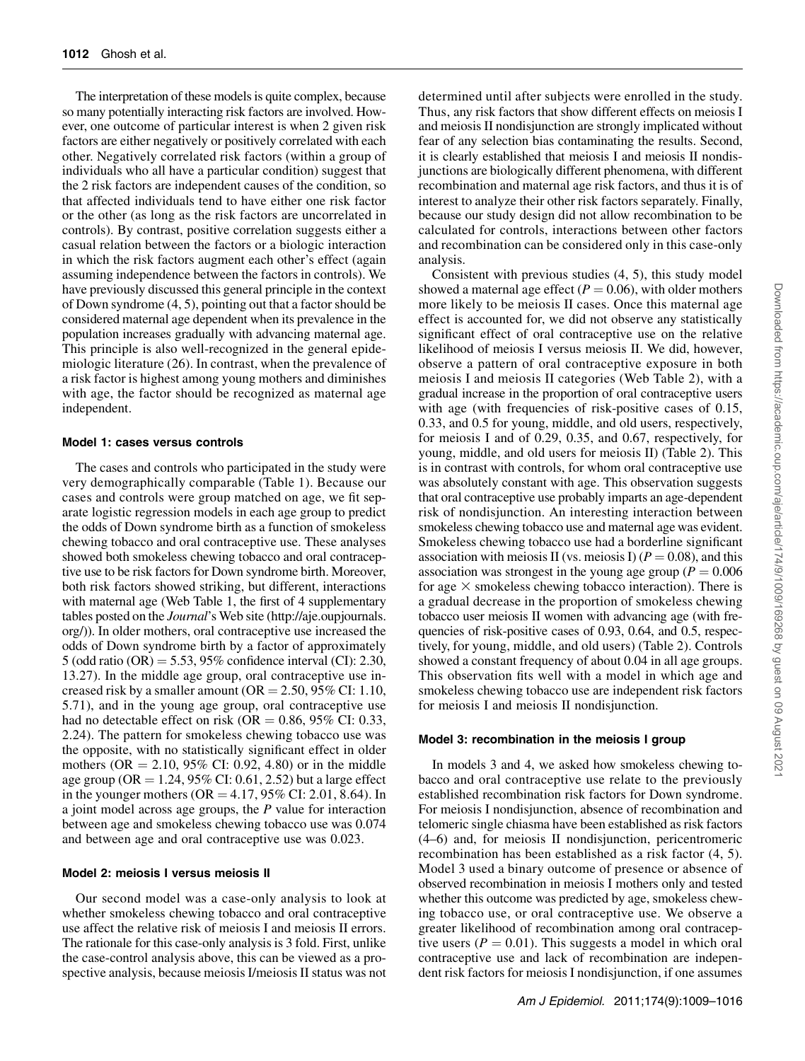The interpretation of these models is quite complex, because so many potentially interacting risk factors are involved. However, one outcome of particular interest is when 2 given risk factors are either negatively or positively correlated with each other. Negatively correlated risk factors (within a group of individuals who all have a particular condition) suggest that the 2 risk factors are independent causes of the condition, so that affected individuals tend to have either one risk factor or the other (as long as the risk factors are uncorrelated in controls). By contrast, positive correlation suggests either a casual relation between the factors or a biologic interaction in which the risk factors augment each other's effect (again assuming independence between the factors in controls). We have previously discussed this general principle in the context of Down syndrome (4, 5), pointing out that a factor should be considered maternal age dependent when its prevalence in the population increases gradually with advancing maternal age. This principle is also well-recognized in the general epidemiologic literature (26). In contrast, when the prevalence of a risk factor is highest among young mothers and diminishes with age, the factor should be recognized as maternal age independent.

#### Model 1: cases versus controls

The cases and controls who participated in the study were very demographically comparable (Table 1). Because our cases and controls were group matched on age, we fit separate logistic regression models in each age group to predict the odds of Down syndrome birth as a function of smokeless chewing tobacco and oral contraceptive use. These analyses showed both smokeless chewing tobacco and oral contraceptive use to be risk factors for Down syndrome birth. Moreover, both risk factors showed striking, but different, interactions with maternal age (Web Table 1, the first of 4 supplementary tables posted on the *Journal's* Web site (http://aje.oupjournals. org/)). In older mothers, oral contraceptive use increased the odds of Down syndrome birth by a factor of approximately 5 (odd ratio  $(OR) = 5.53$ , 95% confidence interval  $(CI)$ : 2.30, 13.27). In the middle age group, oral contraceptive use increased risk by a smaller amount ( $OR = 2.50, 95\%$  CI: 1.10, 5.71), and in the young age group, oral contraceptive use had no detectable effect on risk (OR  $= 0.86, 95\%$  CI: 0.33, 2.24). The pattern for smokeless chewing tobacco use was the opposite, with no statistically significant effect in older mothers ( $OR = 2.10, 95\%$  CI: 0.92, 4.80) or in the middle age group (OR = 1.24, 95% CI: 0.61, 2.52) but a large effect in the younger mothers ( $OR = 4.17, 95\%$  CI: 2.01, 8.64). In a joint model across age groups, the  $P$  value for interaction between age and smokeless chewing tobacco use was 0.074 and between age and oral contraceptive use was 0.023.

#### Model 2: meiosis I versus meiosis II

Our second model was a case-only analysis to look at whether smokeless chewing tobacco and oral contraceptive use affect the relative risk of meiosis I and meiosis II errors. The rationale for this case-only analysis is 3 fold. First, unlike the case-control analysis above, this can be viewed as a prospective analysis, because meiosis I/meiosis II status was not

determined until after subjects were enrolled in the study. Thus, any risk factors that show different effects on meiosis I and meiosis II nondisjunction are strongly implicated without fear of any selection bias contaminating the results. Second, it is clearly established that meiosis I and meiosis II nondisjunctions are biologically different phenomena, with different recombination and maternal age risk factors, and thus it is of interest to analyze their other risk factors separately. Finally, because our study design did not allow recombination to be calculated for controls, interactions between other factors and recombination can be considered only in this case-only analysis.

Consistent with previous studies (4, 5), this study model showed a maternal age effect ( $P = 0.06$ ), with older mothers more likely to be meiosis II cases. Once this maternal age effect is accounted for, we did not observe any statistically significant effect of oral contraceptive use on the relative likelihood of meiosis I versus meiosis II. We did, however, observe a pattern of oral contraceptive exposure in both meiosis I and meiosis II categories (Web Table 2), with a gradual increase in the proportion of oral contraceptive users with age (with frequencies of risk-positive cases of 0.15, 0.33, and 0.5 for young, middle, and old users, respectively, for meiosis I and of 0.29, 0.35, and 0.67, respectively, for young, middle, and old users for meiosis II) (Table 2). This is in contrast with controls, for whom oral contraceptive use was absolutely constant with age. This observation suggests that oral contraceptive use probably imparts an age-dependent risk of nondisjunction. An interesting interaction between smokeless chewing tobacco use and maternal age was evident. Smokeless chewing tobacco use had a borderline significant association with meiosis II (vs. meiosis I) ( $P = 0.08$ ), and this association was strongest in the young age group ( $P = 0.006$ ) for age  $\times$  smokeless chewing tobacco interaction). There is a gradual decrease in the proportion of smokeless chewing tobacco user meiosis II women with advancing age (with frequencies of risk-positive cases of 0.93, 0.64, and 0.5, respectively, for young, middle, and old users) (Table 2). Controls showed a constant frequency of about 0.04 in all age groups. This observation fits well with a model in which age and smokeless chewing tobacco use are independent risk factors for meiosis I and meiosis II nondisjunction.

#### Model 3: recombination in the meiosis I group

In models 3 and 4, we asked how smokeless chewing tobacco and oral contraceptive use relate to the previously established recombination risk factors for Down syndrome. For meiosis I nondisjunction, absence of recombination and telomeric single chiasma have been established as risk factors (4–6) and, for meiosis II nondisjunction, pericentromeric recombination has been established as a risk factor (4, 5). Model 3 used a binary outcome of presence or absence of observed recombination in meiosis I mothers only and tested whether this outcome was predicted by age, smokeless chewing tobacco use, or oral contraceptive use. We observe a greater likelihood of recombination among oral contraceptive users ( $P = 0.01$ ). This suggests a model in which oral contraceptive use and lack of recombination are independent risk factors for meiosis I nondisjunction, if one assumes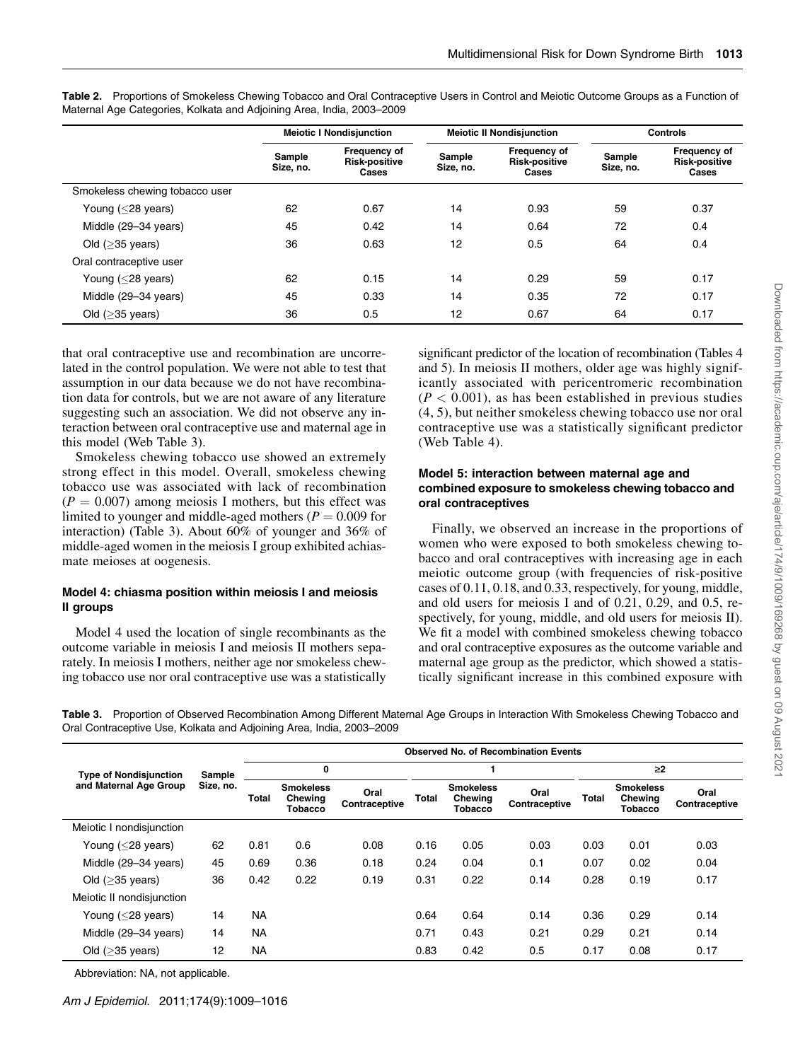|                                |                     | <b>Meiotic I Nondisjunction</b>               |                     | <b>Meiotic II Nondisjunction</b>              | <b>Controls</b>     |                                               |  |
|--------------------------------|---------------------|-----------------------------------------------|---------------------|-----------------------------------------------|---------------------|-----------------------------------------------|--|
|                                | Sample<br>Size, no. | Frequency of<br><b>Risk-positive</b><br>Cases | Sample<br>Size, no. | Frequency of<br><b>Risk-positive</b><br>Cases | Sample<br>Size, no. | Frequency of<br><b>Risk-positive</b><br>Cases |  |
| Smokeless chewing tobacco user |                     |                                               |                     |                                               |                     |                                               |  |
| Young $(<$ 28 years)           | 62                  | 0.67                                          | 14                  | 0.93                                          | 59                  | 0.37                                          |  |
| Middle (29-34 years)           | 45                  | 0.42                                          | 14                  | 0.64                                          | 72                  | 0.4                                           |  |
| Old $($ >35 years)             | 36                  | 0.63                                          | 12                  | 0.5                                           | 64                  | 0.4                                           |  |
| Oral contraceptive user        |                     |                                               |                     |                                               |                     |                                               |  |
| Young $(<$ 28 years)           | 62                  | 0.15                                          | 14                  | 0.29                                          | 59                  | 0.17                                          |  |
| Middle (29-34 years)           | 45                  | 0.33                                          | 14                  | 0.35                                          | 72                  | 0.17                                          |  |
| Old $($ >35 years)             | 36                  | 0.5                                           | 12                  | 0.67                                          | 64                  | 0.17                                          |  |

Table 2. Proportions of Smokeless Chewing Tobacco and Oral Contraceptive Users in Control and Meiotic Outcome Groups as a Function of Maternal Age Categories, Kolkata and Adjoining Area, India, 2003–2009

that oral contraceptive use and recombination are uncorrelated in the control population. We were not able to test that assumption in our data because we do not have recombination data for controls, but we are not aware of any literature suggesting such an association. We did not observe any interaction between oral contraceptive use and maternal age in this model (Web Table 3).

Smokeless chewing tobacco use showed an extremely strong effect in this model. Overall, smokeless chewing tobacco use was associated with lack of recombination  $(P = 0.007)$  among meiosis I mothers, but this effect was limited to younger and middle-aged mothers ( $P = 0.009$  for interaction) (Table 3). About 60% of younger and 36% of middle-aged women in the meiosis I group exhibited achiasmate meioses at oogenesis.

# Model 4: chiasma position within meiosis I and meiosis II groups

Model 4 used the location of single recombinants as the outcome variable in meiosis I and meiosis II mothers separately. In meiosis I mothers, neither age nor smokeless chewing tobacco use nor oral contraceptive use was a statistically significant predictor of the location of recombination (Tables 4 and 5). In meiosis II mothers, older age was highly significantly associated with pericentromeric recombination  $(P < 0.001)$ , as has been established in previous studies (4, 5), but neither smokeless chewing tobacco use nor oral contraceptive use was a statistically significant predictor (Web Table 4).

## Model 5: interaction between maternal age and combined exposure to smokeless chewing tobacco and oral contraceptives

Finally, we observed an increase in the proportions of women who were exposed to both smokeless chewing tobacco and oral contraceptives with increasing age in each meiotic outcome group (with frequencies of risk-positive cases of 0.11, 0.18, and 0.33, respectively, for young, middle, and old users for meiosis I and of 0.21, 0.29, and 0.5, respectively, for young, middle, and old users for meiosis II). We fit a model with combined smokeless chewing tobacco and oral contraceptive exposures as the outcome variable and maternal age group as the predictor, which showed a statistically significant increase in this combined exposure with

Table 3. Proportion of Observed Recombination Among Different Maternal Age Groups in Interaction With Smokeless Chewing Tobacco and Oral Contraceptive Use, Kolkata and Adjoining Area, India, 2003–2009

|                                                         | Sample<br>Size, no. | <b>Observed No. of Recombination Events</b> |                                        |                       |       |                                        |                       |        |                                               |                       |  |  |
|---------------------------------------------------------|---------------------|---------------------------------------------|----------------------------------------|-----------------------|-------|----------------------------------------|-----------------------|--------|-----------------------------------------------|-----------------------|--|--|
| <b>Type of Nondisjunction</b><br>and Maternal Age Group |                     |                                             | 0                                      |                       |       |                                        |                       | $\geq$ |                                               |                       |  |  |
|                                                         |                     | Total                                       | <b>Smokeless</b><br>Chewing<br>Tobacco | Oral<br>Contraceptive | Total | <b>Smokeless</b><br>Chewing<br>Tobacco | Oral<br>Contraceptive | Total  | <b>Smokeless</b><br>Chewing<br><b>Tobacco</b> | Oral<br>Contraceptive |  |  |
| Meiotic I nondisjunction                                |                     |                                             |                                        |                       |       |                                        |                       |        |                                               |                       |  |  |
| Young $(<$ 28 years)                                    | 62                  | 0.81                                        | 0.6                                    | 0.08                  | 0.16  | 0.05                                   | 0.03                  | 0.03   | 0.01                                          | 0.03                  |  |  |
| Middle (29-34 years)                                    | 45                  | 0.69                                        | 0.36                                   | 0.18                  | 0.24  | 0.04                                   | 0.1                   | 0.07   | 0.02                                          | 0.04                  |  |  |
| Old $($ >35 years)                                      | 36                  | 0.42                                        | 0.22                                   | 0.19                  | 0.31  | 0.22                                   | 0.14                  | 0.28   | 0.19                                          | 0.17                  |  |  |
| Meiotic II nondisjunction                               |                     |                                             |                                        |                       |       |                                        |                       |        |                                               |                       |  |  |
| Young $(<$ 28 years)                                    | 14                  | <b>NA</b>                                   |                                        |                       | 0.64  | 0.64                                   | 0.14                  | 0.36   | 0.29                                          | 0.14                  |  |  |
| Middle (29-34 years)                                    | 14                  | <b>NA</b>                                   |                                        |                       | 0.71  | 0.43                                   | 0.21                  | 0.29   | 0.21                                          | 0.14                  |  |  |
| Old $($ >35 years)                                      | 12                  | <b>NA</b>                                   |                                        |                       | 0.83  | 0.42                                   | 0.5                   | 0.17   | 0.08                                          | 0.17                  |  |  |

Abbreviation: NA, not applicable.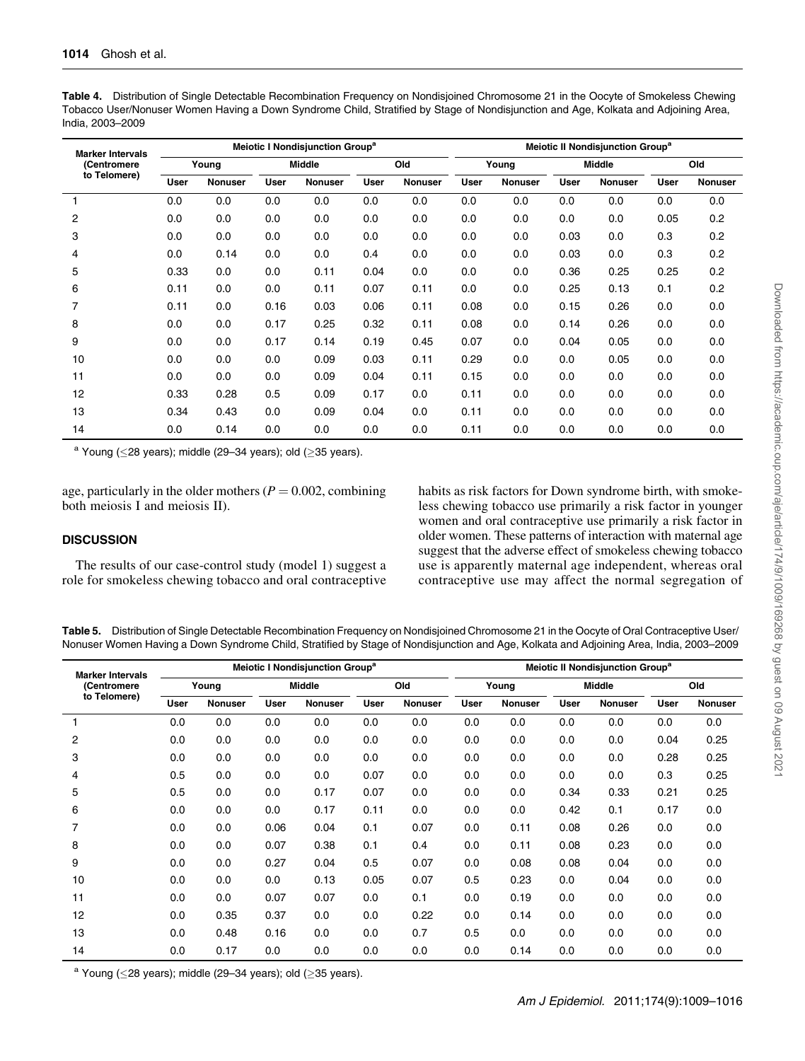| <b>Marker Intervals</b><br>(Centromere<br>to Telomere) | Meiotic I Nondisjunction Group <sup>a</sup> |                |               |                |             |                |             | Meiotic II Nondisjunction Group <sup>a</sup> |               |                |             |                |  |  |
|--------------------------------------------------------|---------------------------------------------|----------------|---------------|----------------|-------------|----------------|-------------|----------------------------------------------|---------------|----------------|-------------|----------------|--|--|
|                                                        | Young                                       |                | <b>Middle</b> |                | Old         |                | Young       |                                              | <b>Middle</b> |                | Old         |                |  |  |
|                                                        | User                                        | <b>Nonuser</b> | <b>User</b>   | <b>Nonuser</b> | <b>User</b> | <b>Nonuser</b> | <b>User</b> | <b>Nonuser</b>                               | <b>User</b>   | <b>Nonuser</b> | <b>User</b> | <b>Nonuser</b> |  |  |
|                                                        | 0.0                                         | 0.0            | 0.0           | 0.0            | 0.0         | 0.0            | 0.0         | 0.0                                          | 0.0           | 0.0            | 0.0         | 0.0            |  |  |
| 2                                                      | 0.0                                         | 0.0            | 0.0           | 0.0            | 0.0         | 0.0            | 0.0         | 0.0                                          | 0.0           | 0.0            | 0.05        | 0.2            |  |  |
| 3                                                      | 0.0                                         | 0.0            | 0.0           | 0.0            | 0.0         | 0.0            | 0.0         | 0.0                                          | 0.03          | 0.0            | 0.3         | 0.2            |  |  |
| 4                                                      | 0.0                                         | 0.14           | 0.0           | 0.0            | 0.4         | 0.0            | 0.0         | 0.0                                          | 0.03          | 0.0            | 0.3         | 0.2            |  |  |
| 5                                                      | 0.33                                        | 0.0            | 0.0           | 0.11           | 0.04        | 0.0            | 0.0         | 0.0                                          | 0.36          | 0.25           | 0.25        | 0.2            |  |  |
| 6                                                      | 0.11                                        | 0.0            | 0.0           | 0.11           | 0.07        | 0.11           | 0.0         | 0.0                                          | 0.25          | 0.13           | 0.1         | 0.2            |  |  |
| $\overline{7}$                                         | 0.11                                        | 0.0            | 0.16          | 0.03           | 0.06        | 0.11           | 0.08        | 0.0                                          | 0.15          | 0.26           | 0.0         | 0.0            |  |  |
| 8                                                      | 0.0                                         | 0.0            | 0.17          | 0.25           | 0.32        | 0.11           | 0.08        | 0.0                                          | 0.14          | 0.26           | 0.0         | 0.0            |  |  |
| 9                                                      | 0.0                                         | 0.0            | 0.17          | 0.14           | 0.19        | 0.45           | 0.07        | 0.0                                          | 0.04          | 0.05           | 0.0         | 0.0            |  |  |
| 10                                                     | 0.0                                         | 0.0            | 0.0           | 0.09           | 0.03        | 0.11           | 0.29        | 0.0                                          | 0.0           | 0.05           | 0.0         | 0.0            |  |  |
| 11                                                     | 0.0                                         | 0.0            | 0.0           | 0.09           | 0.04        | 0.11           | 0.15        | 0.0                                          | 0.0           | 0.0            | 0.0         | 0.0            |  |  |
| 12                                                     | 0.33                                        | 0.28           | 0.5           | 0.09           | 0.17        | 0.0            | 0.11        | 0.0                                          | 0.0           | 0.0            | 0.0         | 0.0            |  |  |
| 13                                                     | 0.34                                        | 0.43           | 0.0           | 0.09           | 0.04        | 0.0            | 0.11        | 0.0                                          | 0.0           | 0.0            | 0.0         | 0.0            |  |  |
| 14                                                     | 0.0                                         | 0.14           | 0.0           | 0.0            | 0.0         | 0.0            | 0.11        | 0.0                                          | 0.0           | 0.0            | 0.0         | 0.0            |  |  |

Table 4. Distribution of Single Detectable Recombination Frequency on Nondisjoined Chromosome 21 in the Oocyte of Smokeless Chewing Tobacco User/Nonuser Women Having a Down Syndrome Child, Stratified by Stage of Nondisjunction and Age, Kolkata and Adjoining Area, India, 2003–2009

<sup>a</sup> Young ( $\leq$ 28 years); middle (29–34 years); old ( $\geq$ 35 years).

age, particularly in the older mothers ( $P = 0.002$ , combining both meiosis I and meiosis II).

# **DISCUSSION**

The results of our case-control study (model 1) suggest a role for smokeless chewing tobacco and oral contraceptive habits as risk factors for Down syndrome birth, with smokeless chewing tobacco use primarily a risk factor in younger women and oral contraceptive use primarily a risk factor in older women. These patterns of interaction with maternal age suggest that the adverse effect of smokeless chewing tobacco use is apparently maternal age independent, whereas oral contraceptive use may affect the normal segregation of

Table 5. Distribution of Single Detectable Recombination Frequency on Nondisjoined Chromosome 21 in the Oocyte of Oral Contraceptive User/ Nonuser Women Having a Down Syndrome Child, Stratified by Stage of Nondisjunction and Age, Kolkata and Adjoining Area, India, 2003–2009

| <b>Marker Intervals</b> |      |                |             | Meiotic I Nondisjunction Group <sup>a</sup> |             | Meiotic II Nondisjunction Group <sup>a</sup> |             |                |               |                |             |         |
|-------------------------|------|----------------|-------------|---------------------------------------------|-------------|----------------------------------------------|-------------|----------------|---------------|----------------|-------------|---------|
| (Centromere             |      | Young          |             | <b>Middle</b>                               |             | Old                                          | Young       |                | <b>Middle</b> |                |             | Old     |
| to Telomere)            | User | <b>Nonuser</b> | <b>User</b> | <b>Nonuser</b>                              | <b>User</b> | <b>Nonuser</b>                               | <b>User</b> | <b>Nonuser</b> | <b>User</b>   | <b>Nonuser</b> | <b>User</b> | Nonuser |
|                         | 0.0  | 0.0            | 0.0         | 0.0                                         | 0.0         | 0.0                                          | 0.0         | 0.0            | 0.0           | 0.0            | 0.0         | 0.0     |
| 2                       | 0.0  | 0.0            | 0.0         | 0.0                                         | 0.0         | 0.0                                          | 0.0         | 0.0            | 0.0           | 0.0            | 0.04        | 0.25    |
| 3                       | 0.0  | 0.0            | 0.0         | 0.0                                         | 0.0         | 0.0                                          | 0.0         | 0.0            | 0.0           | 0.0            | 0.28        | 0.25    |
| 4                       | 0.5  | 0.0            | 0.0         | 0.0                                         | 0.07        | 0.0                                          | 0.0         | 0.0            | 0.0           | 0.0            | 0.3         | 0.25    |
| 5                       | 0.5  | 0.0            | 0.0         | 0.17                                        | 0.07        | 0.0                                          | 0.0         | 0.0            | 0.34          | 0.33           | 0.21        | 0.25    |
| 6                       | 0.0  | 0.0            | 0.0         | 0.17                                        | 0.11        | 0.0                                          | 0.0         | 0.0            | 0.42          | 0.1            | 0.17        | 0.0     |
|                         | 0.0  | 0.0            | 0.06        | 0.04                                        | 0.1         | 0.07                                         | 0.0         | 0.11           | 0.08          | 0.26           | 0.0         | 0.0     |
| 8                       | 0.0  | 0.0            | 0.07        | 0.38                                        | 0.1         | 0.4                                          | 0.0         | 0.11           | 0.08          | 0.23           | 0.0         | 0.0     |
| 9                       | 0.0  | 0.0            | 0.27        | 0.04                                        | 0.5         | 0.07                                         | 0.0         | 0.08           | 0.08          | 0.04           | 0.0         | 0.0     |
| 10                      | 0.0  | 0.0            | 0.0         | 0.13                                        | 0.05        | 0.07                                         | 0.5         | 0.23           | 0.0           | 0.04           | 0.0         | 0.0     |
| 11                      | 0.0  | 0.0            | 0.07        | 0.07                                        | 0.0         | 0.1                                          | 0.0         | 0.19           | 0.0           | 0.0            | 0.0         | 0.0     |
| 12                      | 0.0  | 0.35           | 0.37        | 0.0                                         | 0.0         | 0.22                                         | 0.0         | 0.14           | 0.0           | 0.0            | 0.0         | 0.0     |
| 13                      | 0.0  | 0.48           | 0.16        | 0.0                                         | 0.0         | 0.7                                          | 0.5         | 0.0            | 0.0           | 0.0            | 0.0         | 0.0     |
| 14                      | 0.0  | 0.17           | 0.0         | 0.0                                         | 0.0         | 0.0                                          | 0.0         | 0.14           | 0.0           | 0.0            | 0.0         | 0.0     |

<sup>a</sup> Young ( $\leq$ 28 years); middle (29–34 years); old ( $\geq$ 35 years).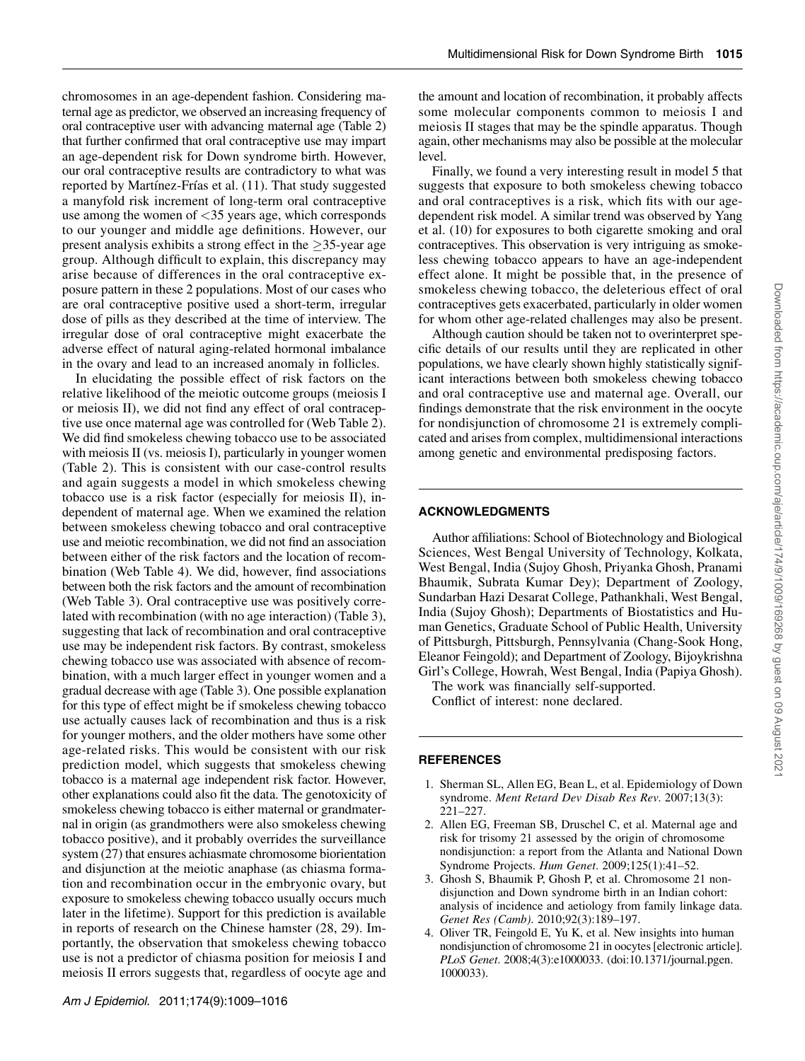chromosomes in an age-dependent fashion. Considering maternal age as predictor, we observed an increasing frequency of oral contraceptive user with advancing maternal age (Table 2) that further confirmed that oral contraceptive use may impart an age-dependent risk for Down syndrome birth. However, our oral contraceptive results are contradictory to what was reported by Martínez-Frías et al. (11). That study suggested a manyfold risk increment of long-term oral contraceptive use among the women of  $\langle 35 \rangle$  years age, which corresponds to our younger and middle age definitions. However, our present analysis exhibits a strong effect in the  $\geq$ 35-year age group. Although difficult to explain, this discrepancy may arise because of differences in the oral contraceptive exposure pattern in these 2 populations. Most of our cases who are oral contraceptive positive used a short-term, irregular dose of pills as they described at the time of interview. The irregular dose of oral contraceptive might exacerbate the adverse effect of natural aging-related hormonal imbalance in the ovary and lead to an increased anomaly in follicles.

In elucidating the possible effect of risk factors on the relative likelihood of the meiotic outcome groups (meiosis I or meiosis II), we did not find any effect of oral contraceptive use once maternal age was controlled for (Web Table 2). We did find smokeless chewing tobacco use to be associated with meiosis II (vs. meiosis I), particularly in younger women (Table 2). This is consistent with our case-control results and again suggests a model in which smokeless chewing tobacco use is a risk factor (especially for meiosis II), independent of maternal age. When we examined the relation between smokeless chewing tobacco and oral contraceptive use and meiotic recombination, we did not find an association between either of the risk factors and the location of recombination (Web Table 4). We did, however, find associations between both the risk factors and the amount of recombination (Web Table 3). Oral contraceptive use was positively correlated with recombination (with no age interaction) (Table 3), suggesting that lack of recombination and oral contraceptive use may be independent risk factors. By contrast, smokeless chewing tobacco use was associated with absence of recombination, with a much larger effect in younger women and a gradual decrease with age (Table 3). One possible explanation for this type of effect might be if smokeless chewing tobacco use actually causes lack of recombination and thus is a risk for younger mothers, and the older mothers have some other age-related risks. This would be consistent with our risk prediction model, which suggests that smokeless chewing tobacco is a maternal age independent risk factor. However, other explanations could also fit the data. The genotoxicity of smokeless chewing tobacco is either maternal or grandmaternal in origin (as grandmothers were also smokeless chewing tobacco positive), and it probably overrides the surveillance system (27) that ensures achiasmate chromosome biorientation and disjunction at the meiotic anaphase (as chiasma formation and recombination occur in the embryonic ovary, but exposure to smokeless chewing tobacco usually occurs much later in the lifetime). Support for this prediction is available in reports of research on the Chinese hamster (28, 29). Importantly, the observation that smokeless chewing tobacco use is not a predictor of chiasma position for meiosis I and meiosis II errors suggests that, regardless of oocyte age and

the amount and location of recombination, it probably affects some molecular components common to meiosis I and meiosis II stages that may be the spindle apparatus. Though again, other mechanisms may also be possible at the molecular level.

Finally, we found a very interesting result in model 5 that suggests that exposure to both smokeless chewing tobacco and oral contraceptives is a risk, which fits with our agedependent risk model. A similar trend was observed by Yang et al. (10) for exposures to both cigarette smoking and oral contraceptives. This observation is very intriguing as smokeless chewing tobacco appears to have an age-independent effect alone. It might be possible that, in the presence of smokeless chewing tobacco, the deleterious effect of oral contraceptives gets exacerbated, particularly in older women for whom other age-related challenges may also be present.

Although caution should be taken not to overinterpret specific details of our results until they are replicated in other populations, we have clearly shown highly statistically significant interactions between both smokeless chewing tobacco and oral contraceptive use and maternal age. Overall, our findings demonstrate that the risk environment in the oocyte for nondisjunction of chromosome 21 is extremely complicated and arises from complex, multidimensional interactions among genetic and environmental predisposing factors.

### ACKNOWLEDGMENTS

Author affiliations: School of Biotechnology and Biological Sciences, West Bengal University of Technology, Kolkata, West Bengal, India (Sujoy Ghosh, Priyanka Ghosh, Pranami Bhaumik, Subrata Kumar Dey); Department of Zoology, Sundarban Hazi Desarat College, Pathankhali, West Bengal, India (Sujoy Ghosh); Departments of Biostatistics and Human Genetics, Graduate School of Public Health, University of Pittsburgh, Pittsburgh, Pennsylvania (Chang-Sook Hong, Eleanor Feingold); and Department of Zoology, Bijoykrishna Girl's College, Howrah, West Bengal, India (Papiya Ghosh).

The work was financially self-supported. Conflict of interest: none declared.

#### REFERENCES

- 1. Sherman SL, Allen EG, Bean L, et al. Epidemiology of Down syndrome. Ment Retard Dev Disab Res Rev. 2007;13(3): 221–227.
- 2. Allen EG, Freeman SB, Druschel C, et al. Maternal age and risk for trisomy 21 assessed by the origin of chromosome nondisjunction: a report from the Atlanta and National Down Syndrome Projects. Hum Genet. 2009;125(1):41–52.
- 3. Ghosh S, Bhaumik P, Ghosh P, et al. Chromosome 21 nondisjunction and Down syndrome birth in an Indian cohort: analysis of incidence and aetiology from family linkage data. Genet Res (Camb). 2010;92(3):189–197.
- 4. Oliver TR, Feingold E, Yu K, et al. New insights into human nondisjunction of chromosome 21 in oocytes [electronic article]. PLoS Genet. 2008;4(3):e1000033. (doi:10.1371/journal.pgen. 1000033).